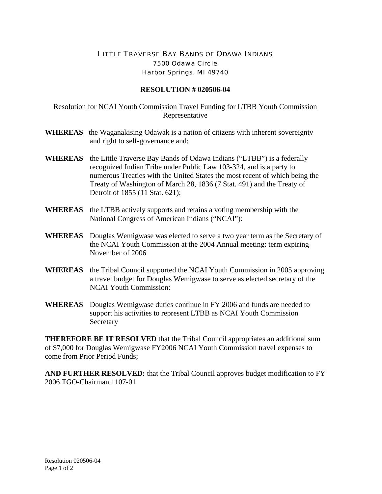## LITTLE TRAVERSE BAY BANDS OF ODAWA INDIANS 7500 Odawa Circle Harbor Springs, MI 49740

## **RESOLUTION # 020506-04**

Resolution for NCAI Youth Commission Travel Funding for LTBB Youth Commission Representative

- **WHEREAS** the Waganakising Odawak is a nation of citizens with inherent sovereignty and right to self-governance and;
- **WHEREAS** the Little Traverse Bay Bands of Odawa Indians ("LTBB") is a federally recognized Indian Tribe under Public Law 103-324, and is a party to numerous Treaties with the United States the most recent of which being the Treaty of Washington of March 28, 1836 (7 Stat. 491) and the Treaty of Detroit of 1855 (11 Stat. 621);
- **WHEREAS** the LTBB actively supports and retains a voting membership with the National Congress of American Indians ("NCAI"):
- **WHEREAS** Douglas Wemigwase was elected to serve a two year term as the Secretary of the NCAI Youth Commission at the 2004 Annual meeting: term expiring November of 2006
- **WHEREAS** the Tribal Council supported the NCAI Youth Commission in 2005 approving a travel budget for Douglas Wemigwase to serve as elected secretary of the NCAI Youth Commission:
- **WHEREAS** Douglas Wemigwase duties continue in FY 2006 and funds are needed to support his activities to represent LTBB as NCAI Youth Commission Secretary

**THEREFORE BE IT RESOLVED** that the Tribal Council appropriates an additional sum of \$7,000 for Douglas Wemigwase FY2006 NCAI Youth Commission travel expenses to come from Prior Period Funds;

**AND FURTHER RESOLVED:** that the Tribal Council approves budget modification to FY 2006 TGO-Chairman 1107-01